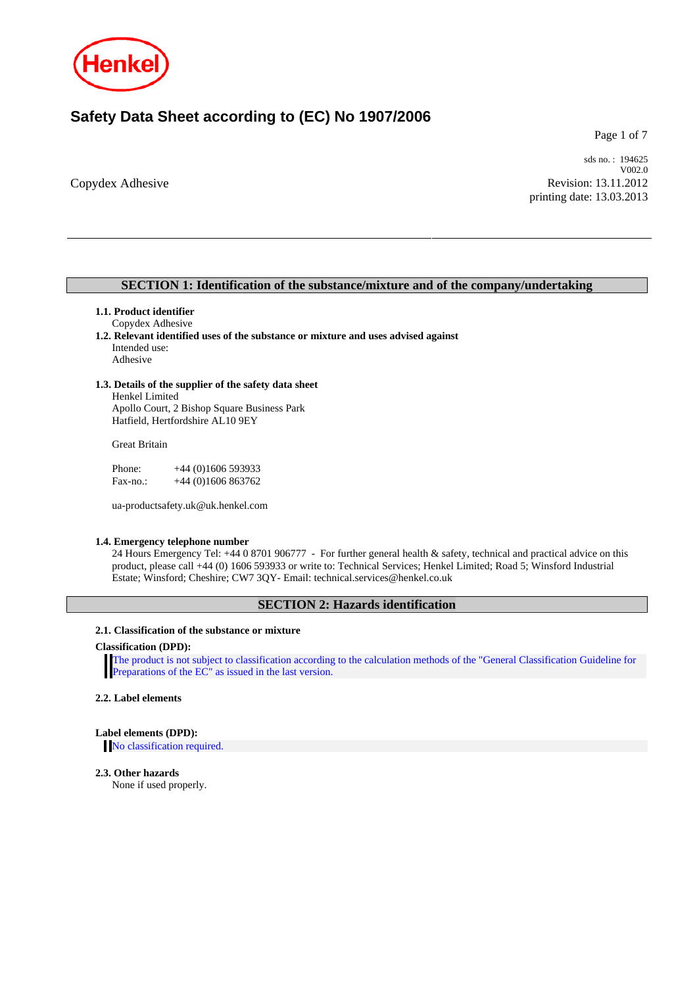

# **Safety Data Sheet according to (EC) No 1907/2006**

Page 1 of 7

Copydex Adhesive

sds no. : 194625 V002.0 Revision: 13.11.2012 printing date: 13.03.2013

## **SECTION 1: Identification of the substance/mixture and of the company/undertaking**

## **1.1. Product identifier**

# Copydex Adhesive

**1.2. Relevant identified uses of the substance or mixture and uses advised against**  Intended use: Adhesive

## **1.3. Details of the supplier of the safety data sheet**

Henkel Limited Apollo Court, 2 Bishop Square Business Park Hatfield, Hertfordshire AL10 9EY

Great Britain

Phone: +44 (0)1606 593933 Fax-no.: +44 (0)1606 863762

ua-productsafety.uk@uk.henkel.com

## **1.4. Emergency telephone number**

24 Hours Emergency Tel: +44 0 8701 906777 - For further general health & safety, technical and practical advice on this product, please call +44 (0) 1606 593933 or write to: Technical Services; Henkel Limited; Road 5; Winsford Industrial Estate; Winsford; Cheshire; CW7 3QY- Email: technical.services@henkel.co.uk

## **SECTION 2: Hazards identification**

#### **2.1. Classification of the substance or mixture**

#### **Classification (DPD):**

The product is not subject to classification according to the calculation methods of the "General Classification Guideline for Preparations of the EC" as issued in the last version.

## **2.2. Label elements**

## **Label elements (DPD):**

No classification required.

### **2.3. Other hazards**

None if used properly.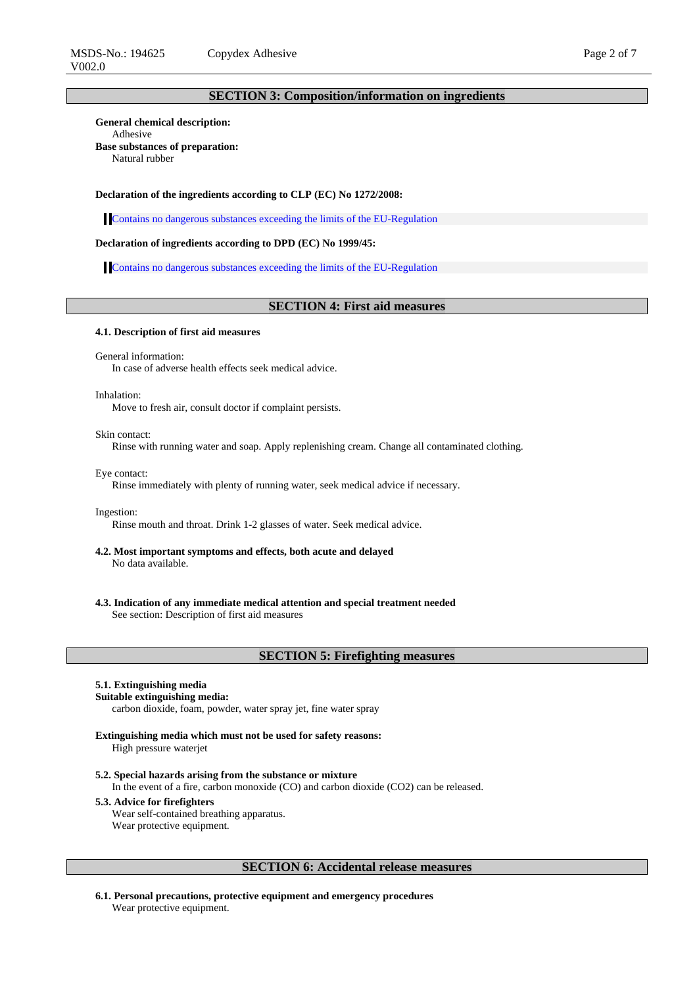## **SECTION 3: Composition/information on ingredients**

**General chemical description:**  Adhesive **Base substances of preparation:**  Natural rubber

#### **Declaration of the ingredients according to CLP (EC) No 1272/2008:**

Contains no dangerous substances exceeding the limits of the EU-Regulation

### **Declaration of ingredients according to DPD (EC) No 1999/45:**

Contains no dangerous substances exceeding the limits of the EU-Regulation

## **SECTION 4: First aid measures**

#### **4.1. Description of first aid measures**

General information:

In case of adverse health effects seek medical advice.

#### Inhalation:

Move to fresh air, consult doctor if complaint persists.

#### Skin contact:

Rinse with running water and soap. Apply replenishing cream. Change all contaminated clothing.

Eye contact:

Rinse immediately with plenty of running water, seek medical advice if necessary.

#### Ingestion:

Rinse mouth and throat. Drink 1-2 glasses of water. Seek medical advice.

- **4.2. Most important symptoms and effects, both acute and delayed**  No data available.
- **4.3. Indication of any immediate medical attention and special treatment needed**  See section: Description of first aid measures

#### **SECTION 5: Firefighting measures**

#### **5.1. Extinguishing media**

#### **Suitable extinguishing media:**

carbon dioxide, foam, powder, water spray jet, fine water spray

### **Extinguishing media which must not be used for safety reasons:**

High pressure waterjet

#### **5.2. Special hazards arising from the substance or mixture**

In the event of a fire, carbon monoxide (CO) and carbon dioxide (CO2) can be released.

#### **5.3. Advice for firefighters**

Wear self-contained breathing apparatus. Wear protective equipment.

## **SECTION 6: Accidental release measures**

**6.1. Personal precautions, protective equipment and emergency procedures**  Wear protective equipment.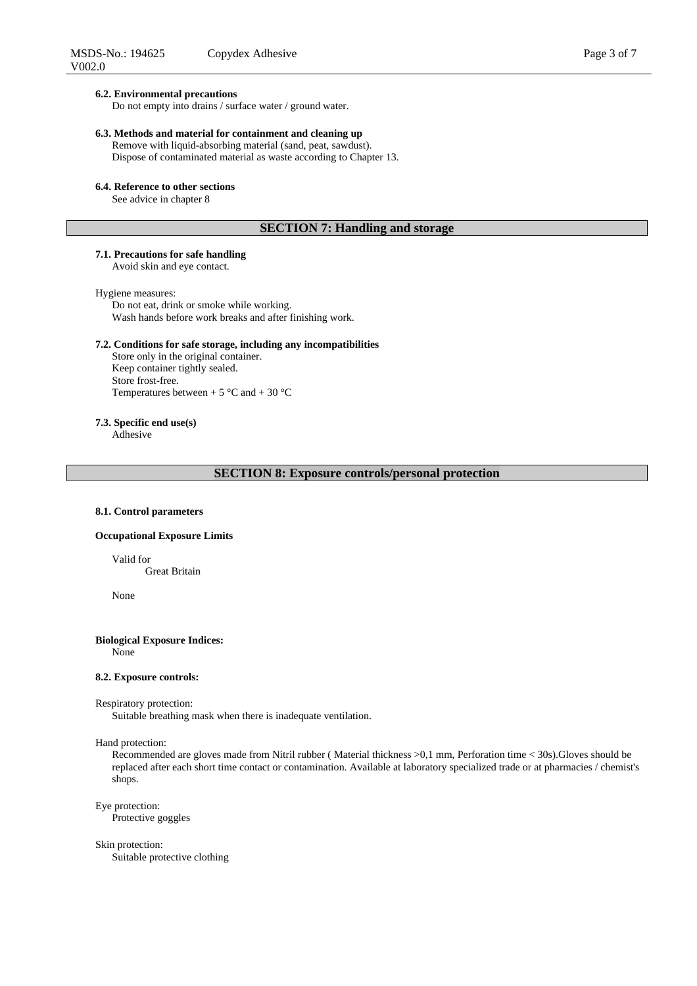#### **6.2. Environmental precautions**

Do not empty into drains / surface water / ground water.

## **6.3. Methods and material for containment and cleaning up**

Remove with liquid-absorbing material (sand, peat, sawdust). Dispose of contaminated material as waste according to Chapter 13.

#### **6.4. Reference to other sections**

See advice in chapter 8

## **SECTION 7: Handling and storage**

## **7.1. Precautions for safe handling**

Avoid skin and eye contact.

#### Hygiene measures:

Do not eat, drink or smoke while working. Wash hands before work breaks and after finishing work.

### **7.2. Conditions for safe storage, including any incompatibilities**

Store only in the original container. Keep container tightly sealed. Store frost-free. Temperatures between  $+ 5 \degree C$  and  $+ 30 \degree C$ 

## **7.3. Specific end use(s)**

Adhesive

## **SECTION 8: Exposure controls/personal protection**

#### **8.1. Control parameters**

#### **Occupational Exposure Limits**

Valid for

Great Britain

None

## **Biological Exposure Indices:**

None

#### **8.2. Exposure controls:**

#### Respiratory protection:

Suitable breathing mask when there is inadequate ventilation.

#### Hand protection:

Recommended are gloves made from Nitril rubber ( Material thickness >0,1 mm, Perforation time < 30s).Gloves should be replaced after each short time contact or contamination. Available at laboratory specialized trade or at pharmacies / chemist's shops.

## Eye protection:

Protective goggles

#### Skin protection:

Suitable protective clothing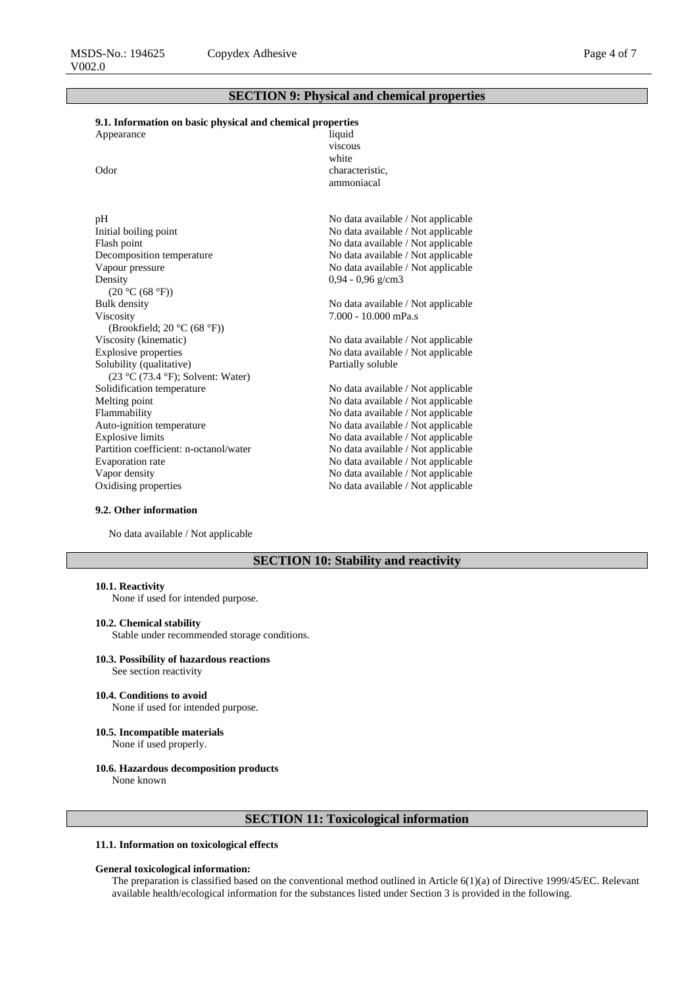## **SECTION 9: Physical and chemical properties**

## **9.1. Information on basic physical and chemical properties**  Appearance liquid

| Odor                                   | viscous<br>white<br>characteristic.<br>ammoniacal |
|----------------------------------------|---------------------------------------------------|
| pH                                     | No data available / Not applicable                |
| Initial boiling point                  | No data available / Not applicable                |
| Flash point                            | No data available / Not applicable                |
| Decomposition temperature              | No data available / Not applicable                |
| Vapour pressure                        | No data available / Not applicable                |
| Density                                | $0.94 - 0.96$ g/cm3                               |
| (20 °C (68 °F))                        |                                                   |
| <b>Bulk density</b>                    | No data available / Not applicable                |
| Viscosity                              | $7.000 - 10.000$ mPa.s                            |
| (Brookfield; 20 °C (68 °F))            |                                                   |
| Viscosity (kinematic)                  | No data available / Not applicable                |
| <b>Explosive properties</b>            | No data available / Not applicable                |
| Solubility (qualitative)               | Partially soluble                                 |
| $(23 °C (73.4 °F))$ ; Solvent: Water)  |                                                   |
| Solidification temperature             | No data available / Not applicable                |
| Melting point                          | No data available / Not applicable                |
| Flammability                           | No data available / Not applicable                |
| Auto-ignition temperature              | No data available / Not applicable                |
| <b>Explosive limits</b>                | No data available / Not applicable                |
| Partition coefficient: n-octanol/water | No data available / Not applicable                |
| Evaporation rate                       | No data available / Not applicable                |
| Vapor density                          | No data available / Not applicable                |
| Oxidising properties                   | No data available / Not applicable                |

#### **9.2. Other information**

No data available / Not applicable

## **SECTION 10: Stability and reactivity**

#### **10.1. Reactivity**

None if used for intended purpose.

#### **10.2. Chemical stability**

Stable under recommended storage conditions.

### **10.3. Possibility of hazardous reactions**

See section reactivity

## **10.4. Conditions to avoid**

None if used for intended purpose.

**10.5. Incompatible materials** 

None if used properly.

## **10.6. Hazardous decomposition products**

None known

## **SECTION 11: Toxicological information**

### **11.1. Information on toxicological effects**

### **General toxicological information:**

The preparation is classified based on the conventional method outlined in Article 6(1)(a) of Directive 1999/45/EC. Relevant available health/ecological information for the substances listed under Section 3 is provided in the following.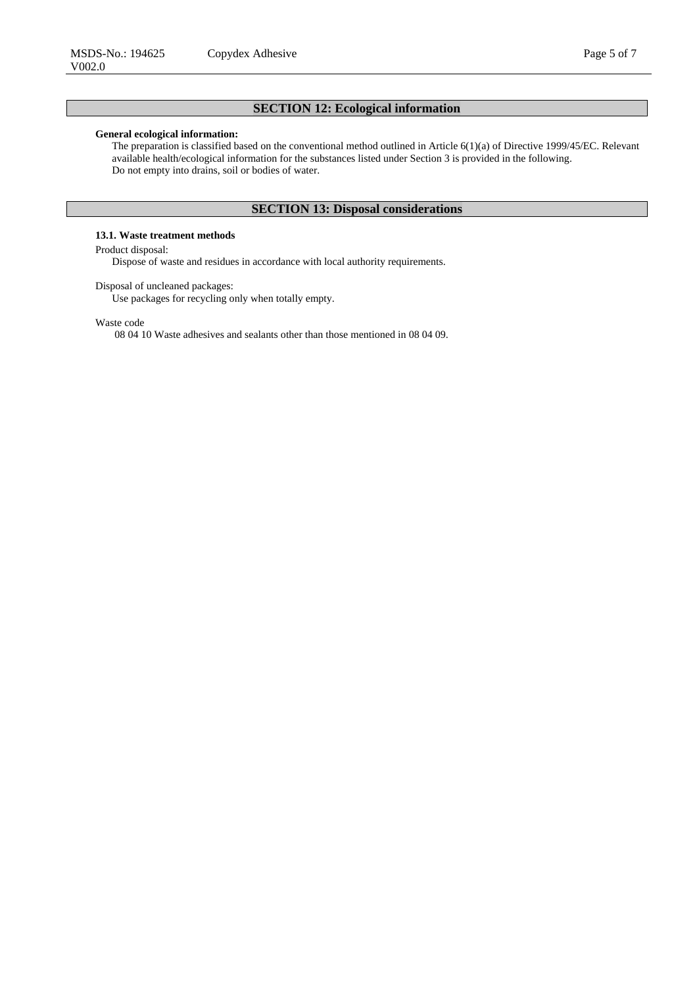# **SECTION 12: Ecological information**

#### **General ecological information:**

The preparation is classified based on the conventional method outlined in Article 6(1)(a) of Directive 1999/45/EC. Relevant available health/ecological information for the substances listed under Section 3 is provided in the following. Do not empty into drains, soil or bodies of water.

## **SECTION 13: Disposal considerations**

## **13.1. Waste treatment methods**

## Product disposal:

Dispose of waste and residues in accordance with local authority requirements.

Disposal of uncleaned packages:

Use packages for recycling only when totally empty.

Waste code

08 04 10 Waste adhesives and sealants other than those mentioned in 08 04 09.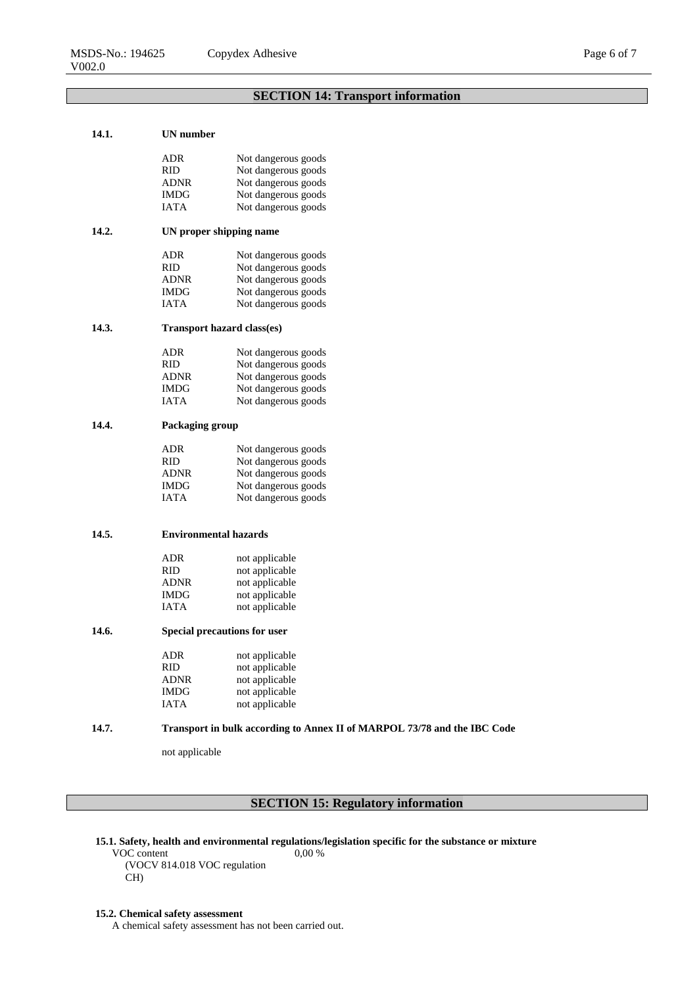### **14.1. UN number**

|       | ADR                                 | Not dangerous goods |
|-------|-------------------------------------|---------------------|
|       | RID                                 | Not dangerous goods |
|       | ADNR                                | Not dangerous goods |
|       | <b>IMDG</b>                         | Not dangerous goods |
|       | <b>IATA</b>                         | Not dangerous goods |
| 14.2. | UN proper shipping name             |                     |
|       | ADR                                 | Not dangerous goods |
|       | <b>RID</b>                          | Not dangerous goods |
|       | ADNR                                | Not dangerous goods |
|       | <b>IMDG</b>                         | Not dangerous goods |
|       | <b>IATA</b>                         | Not dangerous goods |
| 14.3. | <b>Transport hazard class(es)</b>   |                     |
|       | ADR                                 | Not dangerous goods |
|       | RID                                 | Not dangerous goods |
|       | ADNR                                | Not dangerous goods |
|       | <b>IMDG</b>                         | Not dangerous goods |
|       | <b>IATA</b>                         | Not dangerous goods |
| 14.4. | Packaging group                     |                     |
|       | ADR                                 | Not dangerous goods |
|       | <b>RID</b>                          | Not dangerous goods |
|       | <b>ADNR</b>                         | Not dangerous goods |
|       | <b>IMDG</b>                         | Not dangerous goods |
|       | <b>IATA</b>                         | Not dangerous goods |
|       |                                     |                     |
| 14.5. | <b>Environmental hazards</b>        |                     |
|       | ADR                                 | not applicable      |
|       | RID                                 | not applicable      |
|       | ADNR                                | not applicable      |
|       | IMDG                                | not applicable      |
|       | <b>IATA</b>                         | not applicable      |
| 14.6. | <b>Special precautions for user</b> |                     |
|       | ADR                                 | not applicable      |
|       | <b>RID</b>                          | not applicable      |
|       | <b>ADNR</b>                         | not applicable      |
|       | IMDG                                | not applicable      |
|       | <b>IATA</b>                         | not applicable      |
|       |                                     |                     |

## **14.7. Transport in bulk according to Annex II of MARPOL 73/78 and the IBC Code**

not applicable

## **SECTION 15: Regulatory information**

**15.1. Safety, health and environmental regulations/legislation specific for the substance or mixture** 

VOC content (VOCV 814.018 VOC regulation  $CH<sub>2</sub>$ 0,00 %

## **15.2. Chemical safety assessment**

A chemical safety assessment has not been carried out.